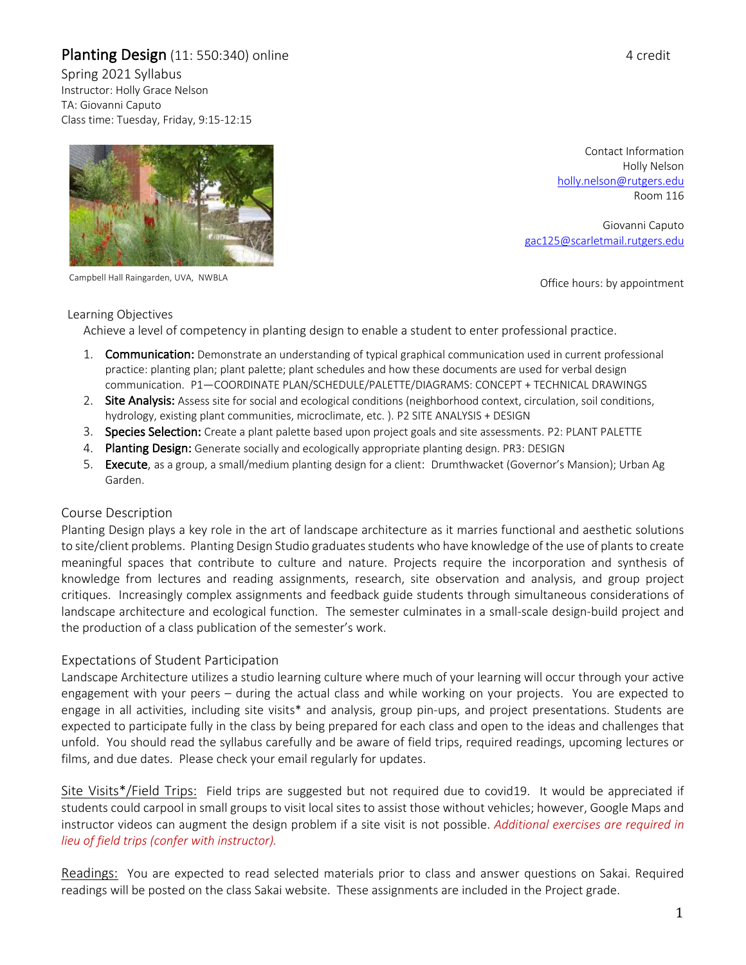# Planting Design (11: 550:340) online 4 credit

Spring 2021 Syllabus Instructor: Holly Grace Nelson TA: Giovanni Caputo Class time: Tuesday, Friday, 9:15-12:15



Campbell Hall Raingarden, UVA, NWBLA

Contact Information Holly Nelson holly.nelson@rutgers.edu Room 116

Giovanni Caputo gac125@scarletmail.rutgers.edu

Office hours: by appointment

#### Learning Objectives

Achieve a level of competency in planting design to enable a student to enter professional practice.

- 1. Communication: Demonstrate an understanding of typical graphical communication used in current professional practice: planting plan; plant palette; plant schedules and how these documents are used for verbal design communication. P1—COORDINATE PLAN/SCHEDULE/PALETTE/DIAGRAMS: CONCEPT + TECHNICAL DRAWINGS
- 2. Site Analysis: Assess site for social and ecological conditions (neighborhood context, circulation, soil conditions, hydrology, existing plant communities, microclimate, etc. ). P2 SITE ANALYSIS + DESIGN
- 3. Species Selection: Create a plant palette based upon project goals and site assessments. P2: PLANT PALETTE
- 4. Planting Design: Generate socially and ecologically appropriate planting design. PR3: DESIGN
- 5. Execute, as a group, a small/medium planting design for a client: Drumthwacket (Governor's Mansion); Urban Ag Garden.

# Course Description

Planting Design plays a key role in the art of landscape architecture as it marries functional and aesthetic solutions to site/client problems. Planting Design Studio graduates students who have knowledge of the use of plants to create meaningful spaces that contribute to culture and nature. Projects require the incorporation and synthesis of knowledge from lectures and reading assignments, research, site observation and analysis, and group project critiques. Increasingly complex assignments and feedback guide students through simultaneous considerations of landscape architecture and ecological function. The semester culminates in a small-scale design-build project and the production of a class publication of the semester's work.

# Expectations of Student Participation

Landscape Architecture utilizes a studio learning culture where much of your learning will occur through your active engagement with your peers – during the actual class and while working on your projects. You are expected to engage in all activities, including site visits\* and analysis, group pin-ups, and project presentations. Students are expected to participate fully in the class by being prepared for each class and open to the ideas and challenges that unfold. You should read the syllabus carefully and be aware of field trips, required readings, upcoming lectures or films, and due dates. Please check your email regularly for updates.

Site Visits\*/Field Trips: Field trips are suggested but not required due to covid19. It would be appreciated if students could carpool in small groups to visit local sites to assist those without vehicles; however, Google Maps and instructor videos can augment the design problem if a site visit is not possible. *Additional exercises are required in lieu of field trips (confer with instructor).*

Readings: You are expected to read selected materials prior to class and answer questions on Sakai. Required readings will be posted on the class Sakai website. These assignments are included in the Project grade.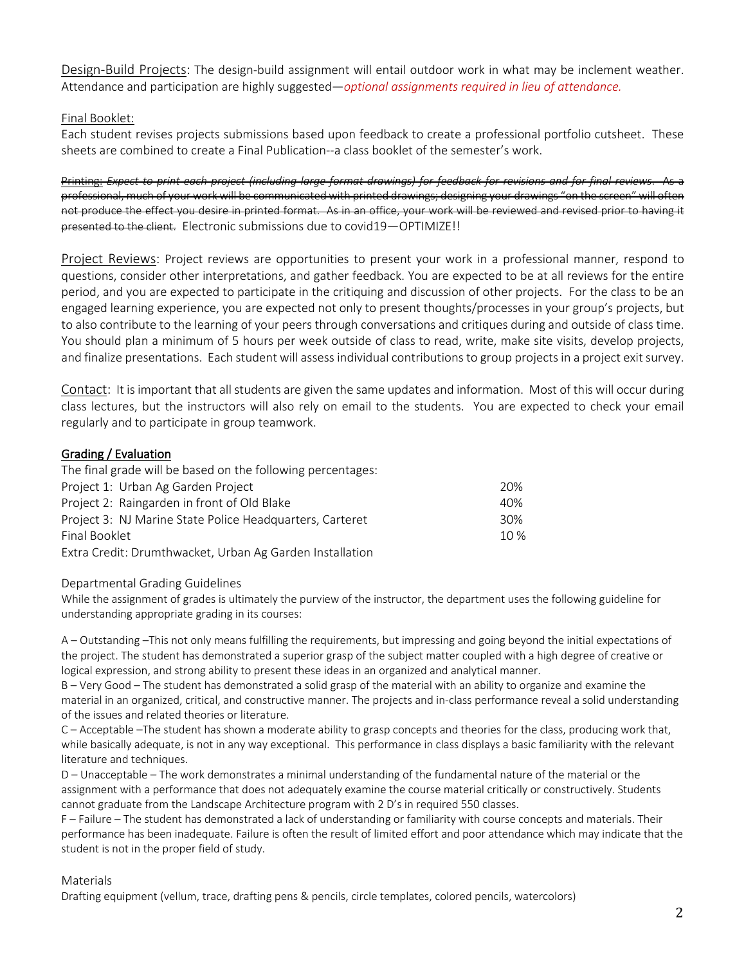Design-Build Projects: The design-build assignment will entail outdoor work in what may be inclement weather. Attendance and participation are highly suggested—*optional assignments required in lieu of attendance.*

## Final Booklet:

Each student revises projects submissions based upon feedback to create a professional portfolio cutsheet. These sheets are combined to create a Final Publication--a class booklet of the semester's work.

Printing: *Expect to print each project (including large format drawings) for feedback for revisions and for final reviews*. As a professional, much of your work will be communicated with printed drawings; designing your drawings "on the screen" will often not produce the effect you desire in printed format. As in an office, your work will be reviewed and revised prior to having it presented to the client. Electronic submissions due to covid19—OPTIMIZE!!

Project Reviews: Project reviews are opportunities to present your work in a professional manner, respond to questions, consider other interpretations, and gather feedback. You are expected to be at all reviews for the entire period, and you are expected to participate in the critiquing and discussion of other projects. For the class to be an engaged learning experience, you are expected not only to present thoughts/processes in your group's projects, but to also contribute to the learning of your peers through conversations and critiques during and outside of class time. You should plan a minimum of 5 hours per week outside of class to read, write, make site visits, develop projects, and finalize presentations. Each student will assess individual contributions to group projects in a project exit survey.

Contact: It is important that all students are given the same updates and information. Most of this will occur during class lectures, but the instructors will also rely on email to the students. You are expected to check your email regularly and to participate in group teamwork.

### Grading / Evaluation

The final grade will be based on the following percentages:

| Project 1: Urban Ag Garden Project                       | 20% |
|----------------------------------------------------------|-----|
| Project 2: Raingarden in front of Old Blake              | 40% |
| Project 3: NJ Marine State Police Headquarters, Carteret | 30% |
| Final Booklet                                            | 10% |
| Extra Credit: Drumthwacket, Urban Ag Garden Installation |     |

#### Departmental Grading Guidelines

While the assignment of grades is ultimately the purview of the instructor, the department uses the following guideline for understanding appropriate grading in its courses:

A – Outstanding –This not only means fulfilling the requirements, but impressing and going beyond the initial expectations of the project. The student has demonstrated a superior grasp of the subject matter coupled with a high degree of creative or logical expression, and strong ability to present these ideas in an organized and analytical manner.

B – Very Good – The student has demonstrated a solid grasp of the material with an ability to organize and examine the material in an organized, critical, and constructive manner. The projects and in-class performance reveal a solid understanding of the issues and related theories or literature.

C – Acceptable –The student has shown a moderate ability to grasp concepts and theories for the class, producing work that, while basically adequate, is not in any way exceptional. This performance in class displays a basic familiarity with the relevant literature and techniques.

D – Unacceptable – The work demonstrates a minimal understanding of the fundamental nature of the material or the assignment with a performance that does not adequately examine the course material critically or constructively. Students cannot graduate from the Landscape Architecture program with 2 D's in required 550 classes.

F – Failure – The student has demonstrated a lack of understanding or familiarity with course concepts and materials. Their performance has been inadequate. Failure is often the result of limited effort and poor attendance which may indicate that the student is not in the proper field of study.

#### Materials

Drafting equipment (vellum, trace, drafting pens & pencils, circle templates, colored pencils, watercolors)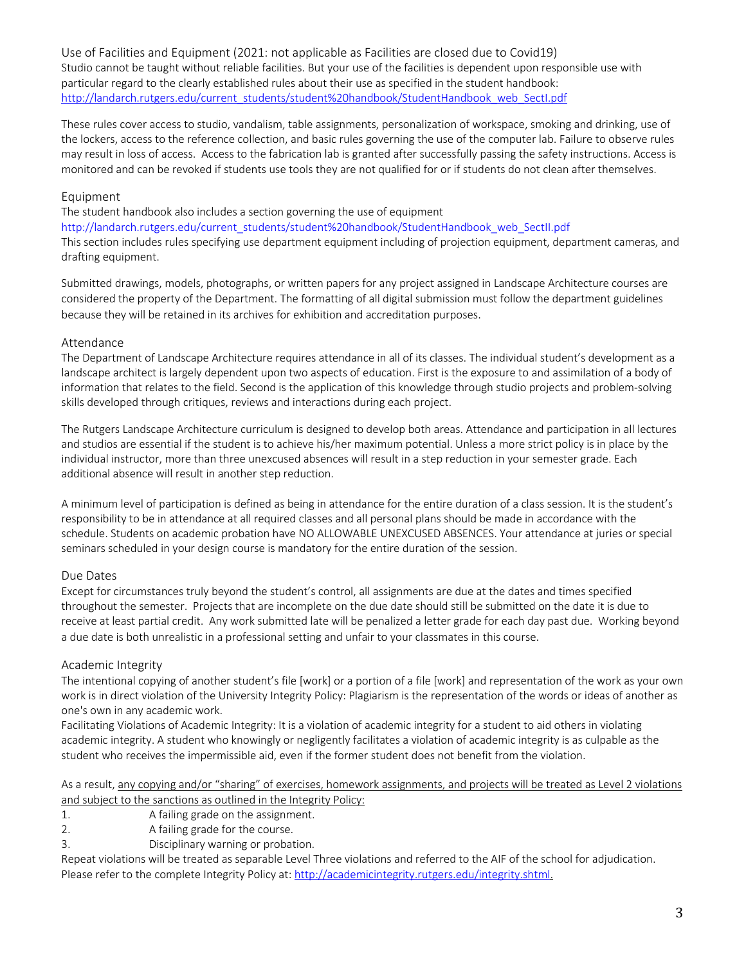Use of Facilities and Equipment (2021: not applicable as Facilities are closed due to Covid19) Studio cannot be taught without reliable facilities. But your use of the facilities is dependent upon responsible use with particular regard to the clearly established rules about their use as specified in the student handbook: http://landarch.rutgers.edu/current\_students/student%20handbook/StudentHandbook\_web\_SectI.pdf

These rules cover access to studio, vandalism, table assignments, personalization of workspace, smoking and drinking, use of the lockers, access to the reference collection, and basic rules governing the use of the computer lab. Failure to observe rules may result in loss of access. Access to the fabrication lab is granted after successfully passing the safety instructions. Access is monitored and can be revoked if students use tools they are not qualified for or if students do not clean after themselves.

#### Equipment

The student handbook also includes a section governing the use of equipment http://landarch.rutgers.edu/current\_students/student%20handbook/StudentHandbook\_web\_SectII.pdf This section includes rules specifying use department equipment including of projection equipment, department cameras, and drafting equipment.

Submitted drawings, models, photographs, or written papers for any project assigned in Landscape Architecture courses are considered the property of the Department. The formatting of all digital submission must follow the department guidelines because they will be retained in its archives for exhibition and accreditation purposes.

#### Attendance

The Department of Landscape Architecture requires attendance in all of its classes. The individual student's development as a landscape architect is largely dependent upon two aspects of education. First is the exposure to and assimilation of a body of information that relates to the field. Second is the application of this knowledge through studio projects and problem-solving skills developed through critiques, reviews and interactions during each project.

The Rutgers Landscape Architecture curriculum is designed to develop both areas. Attendance and participation in all lectures and studios are essential if the student is to achieve his/her maximum potential. Unless a more strict policy is in place by the individual instructor, more than three unexcused absences will result in a step reduction in your semester grade. Each additional absence will result in another step reduction.

A minimum level of participation is defined as being in attendance for the entire duration of a class session. It is the student's responsibility to be in attendance at all required classes and all personal plans should be made in accordance with the schedule. Students on academic probation have NO ALLOWABLE UNEXCUSED ABSENCES. Your attendance at juries or special seminars scheduled in your design course is mandatory for the entire duration of the session.

#### Due Dates

Except for circumstances truly beyond the student's control, all assignments are due at the dates and times specified throughout the semester. Projects that are incomplete on the due date should still be submitted on the date it is due to receive at least partial credit. Any work submitted late will be penalized a letter grade for each day past due. Working beyond a due date is both unrealistic in a professional setting and unfair to your classmates in this course.

#### Academic Integrity

The intentional copying of another student's file [work] or a portion of a file [work] and representation of the work as your own work is in direct violation of the University Integrity Policy: Plagiarism is the representation of the words or ideas of another as one's own in any academic work.

Facilitating Violations of Academic Integrity: It is a violation of academic integrity for a student to aid others in violating academic integrity. A student who knowingly or negligently facilitates a violation of academic integrity is as culpable as the student who receives the impermissible aid, even if the former student does not benefit from the violation.

As a result, any copying and/or "sharing" of exercises, homework assignments, and projects will be treated as Level 2 violations and subject to the sanctions as outlined in the Integrity Policy:

- 1. A failing grade on the assignment.
- 2. A failing grade for the course.
- 3. Disciplinary warning or probation.

Repeat violations will be treated as separable Level Three violations and referred to the AIF of the school for adjudication. Please refer to the complete Integrity Policy at: http://academicintegrity.rutgers.edu/integrity.shtml.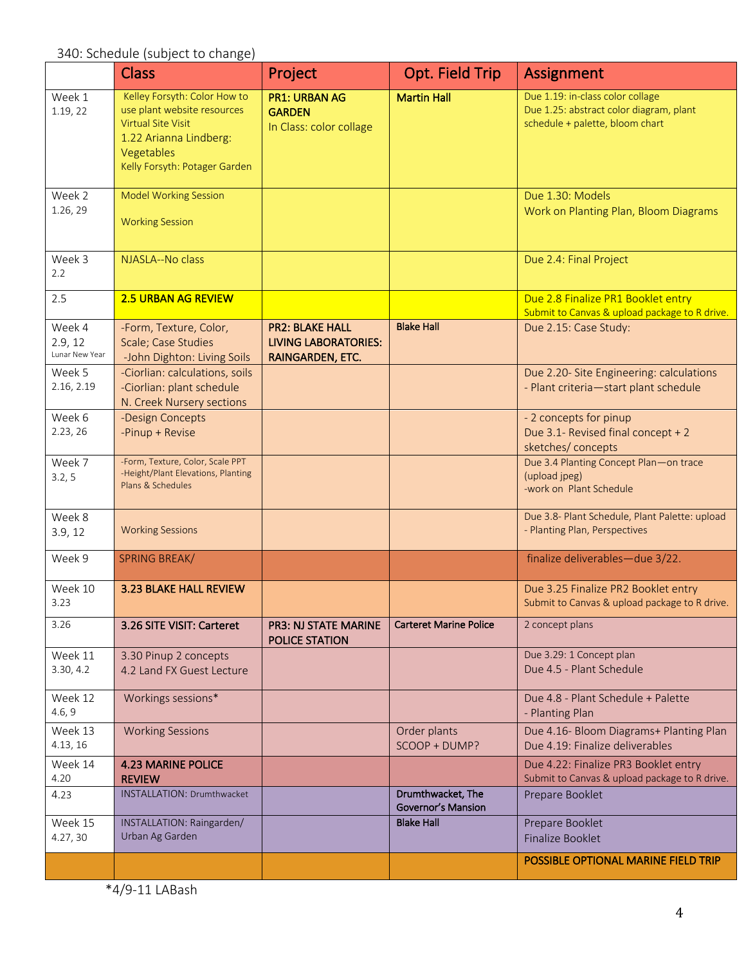|                                     | <b>Class</b>                                                                                                                                                      | Project                                                                   | Opt. Field Trip                         | <b>Assignment</b>                                                                                              |
|-------------------------------------|-------------------------------------------------------------------------------------------------------------------------------------------------------------------|---------------------------------------------------------------------------|-----------------------------------------|----------------------------------------------------------------------------------------------------------------|
| Week 1<br>1.19, 22                  | Kelley Forsyth: Color How to<br>use plant website resources<br><b>Virtual Site Visit</b><br>1.22 Arianna Lindberg:<br>Vegetables<br>Kelly Forsyth: Potager Garden | <b>PR1: URBAN AG</b><br><b>GARDEN</b><br>In Class: color collage          | <b>Martin Hall</b>                      | Due 1.19: in-class color collage<br>Due 1.25: abstract color diagram, plant<br>schedule + palette, bloom chart |
| Week 2<br>1.26, 29                  | <b>Model Working Session</b><br><b>Working Session</b>                                                                                                            |                                                                           |                                         | Due 1.30: Models<br>Work on Planting Plan, Bloom Diagrams                                                      |
| Week 3<br>2.2                       | NJASLA--No class                                                                                                                                                  |                                                                           |                                         | Due 2.4: Final Project                                                                                         |
| 2.5                                 | <b>2.5 URBAN AG REVIEW</b>                                                                                                                                        |                                                                           |                                         | Due 2.8 Finalize PR1 Booklet entry<br>Submit to Canvas & upload package to R drive.                            |
| Week 4<br>2.9, 12<br>Lunar New Year | -Form, Texture, Color,<br>Scale; Case Studies<br>-John Dighton: Living Soils                                                                                      | <b>PR2: BLAKE HALL</b><br><b>LIVING LABORATORIES:</b><br>RAINGARDEN, ETC. | <b>Blake Hall</b>                       | Due 2.15: Case Study:                                                                                          |
| Week 5<br>2.16, 2.19                | -Ciorlian: calculations, soils<br>-Ciorlian: plant schedule<br>N. Creek Nursery sections                                                                          |                                                                           |                                         | Due 2.20- Site Engineering: calculations<br>- Plant criteria-start plant schedule                              |
| Week 6<br>2.23, 26                  | -Design Concepts<br>-Pinup + Revise                                                                                                                               |                                                                           |                                         | - 2 concepts for pinup<br>Due 3.1- Revised final concept + 2<br>sketches/ concepts                             |
| Week 7<br>3.2, 5                    | -Form, Texture, Color, Scale PPT<br>-Height/Plant Elevations, Planting<br>Plans & Schedules                                                                       |                                                                           |                                         | Due 3.4 Planting Concept Plan-on trace<br>(upload jpeg)<br>-work on Plant Schedule                             |
| Week 8<br>3.9, 12                   | <b>Working Sessions</b>                                                                                                                                           |                                                                           |                                         | Due 3.8- Plant Schedule, Plant Palette: upload<br>- Planting Plan, Perspectives                                |
| Week 9                              | <b>SPRING BREAK/</b>                                                                                                                                              |                                                                           |                                         | finalize deliverables-due 3/22.                                                                                |
| Week 10<br>3.23                     | 3.23 BLAKE HALL REVIEW                                                                                                                                            |                                                                           |                                         | Due 3.25 Finalize PR2 Booklet entry<br>Submit to Canvas & upload package to R drive.                           |
| 3.26                                | 3.26 SITE VISIT: Carteret                                                                                                                                         | <b>PR3: NJ STATE MARINE</b><br><b>POLICE STATION</b>                      | <b>Carteret Marine Police</b>           | 2 concept plans                                                                                                |
| Week 11<br>3.30, 4.2                | 3.30 Pinup 2 concepts<br>4.2 Land FX Guest Lecture                                                                                                                |                                                                           |                                         | Due 3.29: 1 Concept plan<br>Due 4.5 - Plant Schedule                                                           |
| Week 12<br>4.6, 9                   | Workings sessions*                                                                                                                                                |                                                                           |                                         | Due 4.8 - Plant Schedule + Palette<br>- Planting Plan                                                          |
| Week 13<br>4.13, 16                 | <b>Working Sessions</b>                                                                                                                                           |                                                                           | Order plants<br>SCOOP + DUMP?           | Due 4.16- Bloom Diagrams+ Planting Plan<br>Due 4.19: Finalize deliverables                                     |
| Week 14<br>4.20                     | <b>4.23 MARINE POLICE</b><br><b>REVIEW</b>                                                                                                                        |                                                                           |                                         | Due 4.22: Finalize PR3 Booklet entry<br>Submit to Canvas & upload package to R drive.                          |
| 4.23                                | INSTALLATION: Drumthwacket                                                                                                                                        |                                                                           | Drumthwacket, The<br>Governor's Mansion | Prepare Booklet                                                                                                |
| Week 15<br>4.27, 30                 | INSTALLATION: Raingarden/<br>Urban Ag Garden                                                                                                                      |                                                                           | <b>Blake Hall</b>                       | Prepare Booklet<br>Finalize Booklet                                                                            |
|                                     |                                                                                                                                                                   |                                                                           |                                         | <b>POSSIBLE OPTIONAL MARINE FIELD TRIP</b>                                                                     |

\*4/9-11 LABash